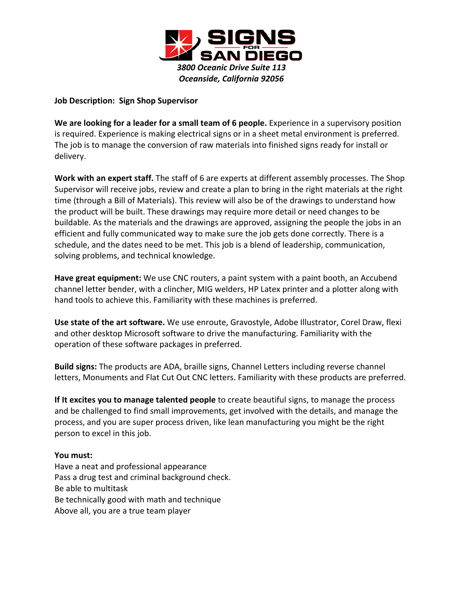

## **Job Description: Sign Shop Supervisor**

**We are looking for a leader for a small team of 6 people.** Experience in a supervisory position is required. Experience is making electrical signs or in a sheet metal environment is preferred. The job is to manage the conversion of raw materials into finished signs ready for install or delivery.

**Work with an expert staff.** The staff of 6 are experts at different assembly processes. The Shop Supervisor will receive jobs, review and create a plan to bring in the right materials at the right time (through a Bill of Materials). This review will also be of the drawings to understand how the product will be built. These drawings may require more detail or need changes to be buildable. As the materials and the drawings are approved, assigning the people the jobs in an efficient and fully communicated way to make sure the job gets done correctly. There is a schedule, and the dates need to be met. This job is a blend of leadership, communication, solving problems, and technical knowledge.

**Have great equipment:** We use CNC routers, a paint system with a paint booth, an Accubend channel letter bender, with a clincher, MIG welders, HP Latex printer and a plotter along with hand tools to achieve this. Familiarity with these machines is preferred.

**Use state of the art software.** We use enroute, Gravostyle, Adobe Illustrator, Corel Draw, flexi and other desktop Microsoft software to drive the manufacturing. Familiarity with the operation of these software packages in preferred.

**Build signs:** The products are ADA, braille signs, Channel Letters including reverse channel letters, Monuments and Flat Cut Out CNC letters. Familiarity with these products are preferred.

**If It excites you to manage talented people** to create beautiful signs, to manage the process and be challenged to find small improvements, get involved with the details, and manage the process, and you are super process driven, like lean manufacturing you might be the right person to excel in this job.

## **You must:**

Have a neat and professional appearance Pass a drug test and criminal background check. Be able to multitask Be technically good with math and technique Above all, you are a true team player